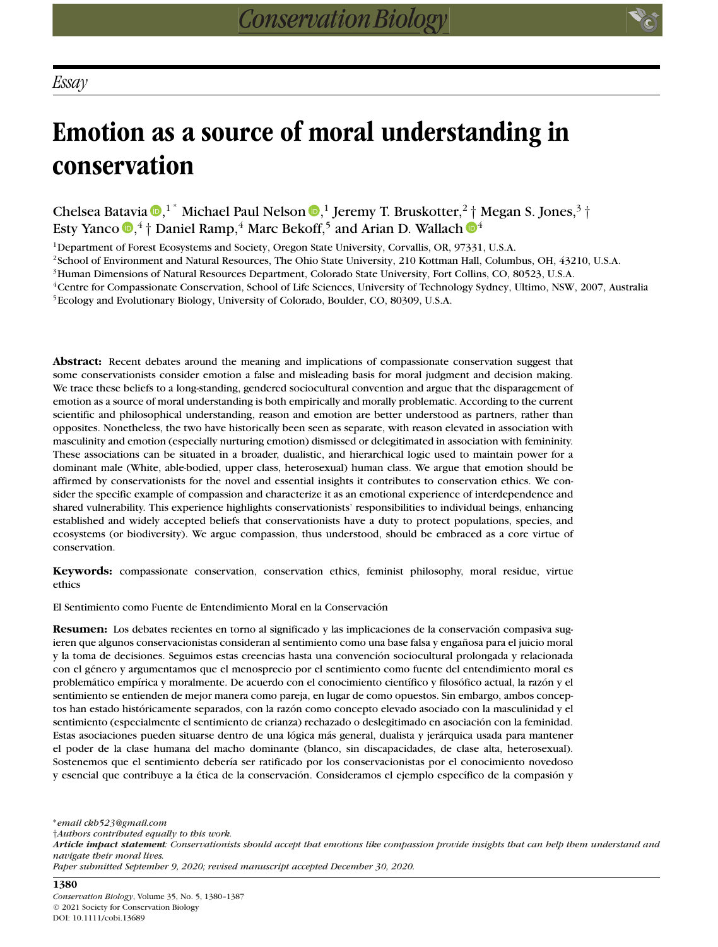# **Emotion as a source of moral understanding in conservation**

Chelsea Batavia <sup>(1[,](https://orcid.org/0000-0001-6917-4752) ∗</sup> Michael Paul Nelson <sup>(1)</sup>, <sup>1</sup> Jeremy T. Bruskotter,<sup>2</sup> [†](https://orcid.org/0000-0002-6640-3887) Megan S. Jones,<sup>3</sup> † Esty Yanco **@**[,](https://orcid.org/0000-0002-6611-222X)<sup>4</sup>  $\dagger$  Daniel Ramp,<sup>4</sup> Marc Bekoff,<sup>5</sup> and Arian D. Wallach **@**<sup>4</sup>

1Department of Forest Ecosystems and Society, Oregon State University, Corvallis, OR, 97331, U.S.A.

2School of Environment and Natural Resources, The Ohio State University, 210 Kottman Hall, Columbus, OH, 43210, U.S.A.

3Human Dimensions of Natural Resources Department, Colorado State University, Fort Collins, CO, 80523, U.S.A.

4Centre for Compassionate Conservation, School of Life Sciences, University of Technology Sydney, Ultimo, NSW, 2007, Australia 5Ecology and Evolutionary Biology, University of Colorado, Boulder, CO, 80309, U.S.A.

**Abstract:** Recent debates around the meaning and implications of compassionate conservation suggest that some conservationists consider emotion a false and misleading basis for moral judgment and decision making. We trace these beliefs to a long-standing, gendered sociocultural convention and argue that the disparagement of emotion as a source of moral understanding is both empirically and morally problematic. According to the current scientific and philosophical understanding, reason and emotion are better understood as partners, rather than opposites. Nonetheless, the two have historically been seen as separate, with reason elevated in association with masculinity and emotion (especially nurturing emotion) dismissed or delegitimated in association with femininity. These associations can be situated in a broader, dualistic, and hierarchical logic used to maintain power for a dominant male (White, able-bodied, upper class, heterosexual) human class. We argue that emotion should be affirmed by conservationists for the novel and essential insights it contributes to conservation ethics. We consider the specific example of compassion and characterize it as an emotional experience of interdependence and shared vulnerability. This experience highlights conservationists' responsibilities to individual beings, enhancing established and widely accepted beliefs that conservationists have a duty to protect populations, species, and ecosystems (or biodiversity). We argue compassion, thus understood, should be embraced as a core virtue of conservation.

**Keywords:** compassionate conservation, conservation ethics, feminist philosophy, moral residue, virtue ethics

El Sentimiento como Fuente de Entendimiento Moral en la Conservación

**Resumen:** Los debates recientes en torno al significado y las implicaciones de la conservación compasiva sugieren que algunos conservacionistas consideran al sentimiento como una base falsa y engañosa para el juicio moral y la toma de decisiones. Seguimos estas creencias hasta una convención sociocultural prolongada y relacionada con el género y argumentamos que el menosprecio por el sentimiento como fuente del entendimiento moral es problemático empírica y moralmente. De acuerdo con el conocimiento científico y filosófico actual, la razón y el sentimiento se entienden de mejor manera como pareja, en lugar de como opuestos. Sin embargo, ambos conceptos han estado históricamente separados, con la razón como concepto elevado asociado con la masculinidad y el sentimiento (especialmente el sentimiento de crianza) rechazado o deslegitimado en asociación con la feminidad. Estas asociaciones pueden situarse dentro de una lógica más general, dualista y jerárquica usada para mantener el poder de la clase humana del macho dominante (blanco, sin discapacidades, de clase alta, heterosexual). Sostenemos que el sentimiento debería ser ratificado por los conservacionistas por el conocimiento novedoso y esencial que contribuye a la ética de la conservación. Consideramos el ejemplo específico de la compasión y

∗*email ckb523@gmail.com †Authors contributed equally to this work. Article impact statement: Conservationists should accept that emotions like compassion provide insights that can help them understand and navigate their moral lives. Paper submitted September 9, 2020; revised manuscript accepted December 30, 2020.*

#### **1380**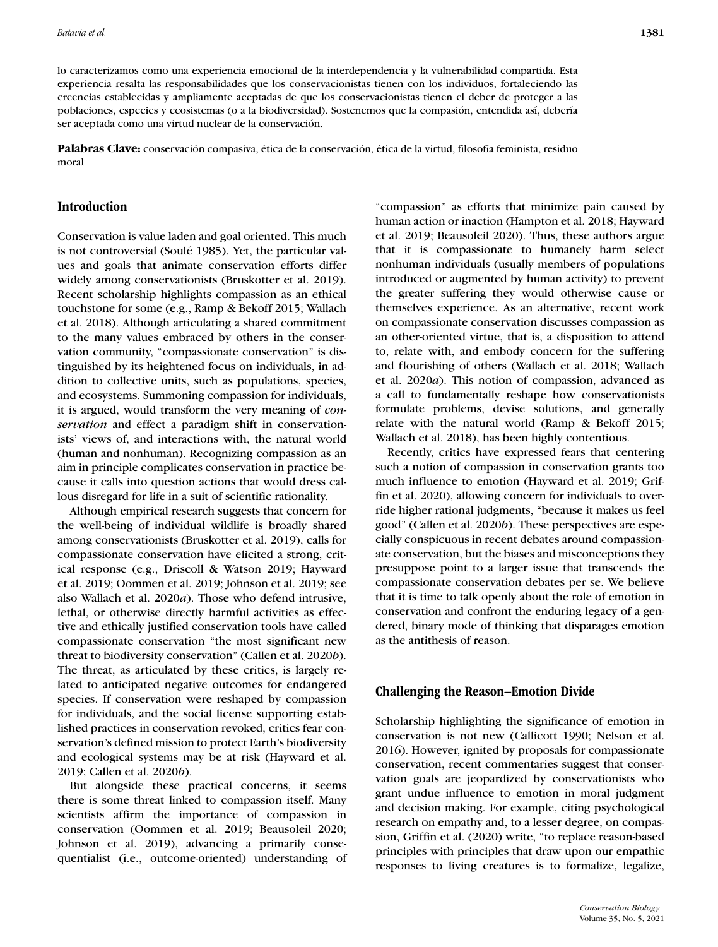lo caracterizamos como una experiencia emocional de la interdependencia y la vulnerabilidad compartida. Esta experiencia resalta las responsabilidades que los conservacionistas tienen con los individuos, fortaleciendo las creencias establecidas y ampliamente aceptadas de que los conservacionistas tienen el deber de proteger a las poblaciones, especies y ecosistemas (o a la biodiversidad). Sostenemos que la compasión, entendida así, debería ser aceptada como una virtud nuclear de la conservación.

**Palabras Clave:** conservación compasiva, ética de la conservación, ética de la virtud, filosofía feminista, residuo moral

## **Introduction**

Conservation is value laden and goal oriented. This much is not controversial (Soulé 1985). Yet, the particular values and goals that animate conservation efforts differ widely among conservationists (Bruskotter et al. 2019). Recent scholarship highlights compassion as an ethical touchstone for some (e.g., Ramp & Bekoff 2015; Wallach et al. 2018). Although articulating a shared commitment to the many values embraced by others in the conservation community, "compassionate conservation" is distinguished by its heightened focus on individuals, in addition to collective units, such as populations, species, and ecosystems. Summoning compassion for individuals, it is argued, would transform the very meaning of *conservation* and effect a paradigm shift in conservationists' views of, and interactions with, the natural world (human and nonhuman). Recognizing compassion as an aim in principle complicates conservation in practice because it calls into question actions that would dress callous disregard for life in a suit of scientific rationality.

Although empirical research suggests that concern for the well-being of individual wildlife is broadly shared among conservationists (Bruskotter et al. 2019), calls for compassionate conservation have elicited a strong, critical response (e.g., Driscoll & Watson 2019; Hayward et al. 2019; Oommen et al. 2019; Johnson et al. 2019; see also Wallach et al. 2020*a*). Those who defend intrusive, lethal, or otherwise directly harmful activities as effective and ethically justified conservation tools have called compassionate conservation "the most significant new threat to biodiversity conservation" (Callen et al. 2020*b*). The threat, as articulated by these critics, is largely related to anticipated negative outcomes for endangered species. If conservation were reshaped by compassion for individuals, and the social license supporting established practices in conservation revoked, critics fear conservation's defined mission to protect Earth's biodiversity and ecological systems may be at risk (Hayward et al. 2019; Callen et al. 2020*b*).

But alongside these practical concerns, it seems there is some threat linked to compassion itself. Many scientists affirm the importance of compassion in conservation (Oommen et al. 2019; Beausoleil 2020; Johnson et al. 2019), advancing a primarily consequentialist (i.e., outcome-oriented) understanding of "compassion" as efforts that minimize pain caused by human action or inaction (Hampton et al. 2018; Hayward et al. 2019; Beausoleil 2020). Thus, these authors argue that it is compassionate to humanely harm select nonhuman individuals (usually members of populations introduced or augmented by human activity) to prevent the greater suffering they would otherwise cause or themselves experience. As an alternative, recent work on compassionate conservation discusses compassion as an other-oriented virtue, that is, a disposition to attend to, relate with, and embody concern for the suffering and flourishing of others (Wallach et al. 2018; Wallach et al. 2020*a*). This notion of compassion, advanced as a call to fundamentally reshape how conservationists formulate problems, devise solutions, and generally relate with the natural world (Ramp & Bekoff 2015; Wallach et al. 2018), has been highly contentious.

Recently, critics have expressed fears that centering such a notion of compassion in conservation grants too much influence to emotion (Hayward et al. 2019; Griffin et al. 2020), allowing concern for individuals to override higher rational judgments, "because it makes us feel good" (Callen et al. 2020*b*). These perspectives are especially conspicuous in recent debates around compassionate conservation, but the biases and misconceptions they presuppose point to a larger issue that transcends the compassionate conservation debates per se. We believe that it is time to talk openly about the role of emotion in conservation and confront the enduring legacy of a gendered, binary mode of thinking that disparages emotion as the antithesis of reason.

## **Challenging the Reason–Emotion Divide**

Scholarship highlighting the significance of emotion in conservation is not new (Callicott 1990; Nelson et al. 2016). However, ignited by proposals for compassionate conservation, recent commentaries suggest that conservation goals are jeopardized by conservationists who grant undue influence to emotion in moral judgment and decision making. For example, citing psychological research on empathy and, to a lesser degree, on compassion, Griffin et al. (2020) write, "to replace reason-based principles with principles that draw upon our empathic responses to living creatures is to formalize, legalize,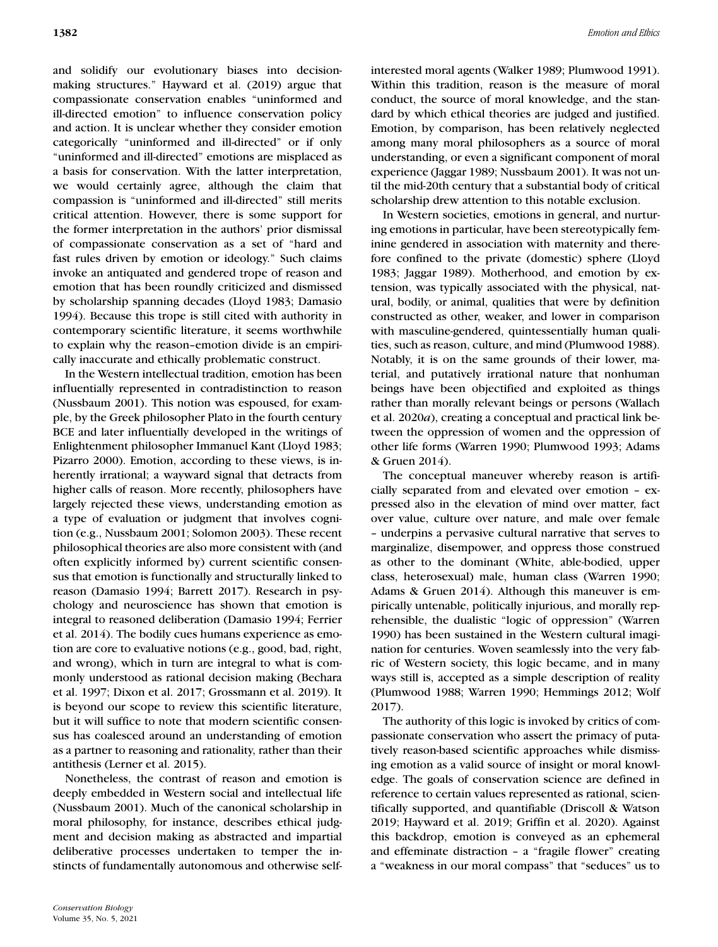and solidify our evolutionary biases into decisionmaking structures." Hayward et al. (2019) argue that compassionate conservation enables "uninformed and ill-directed emotion" to influence conservation policy and action. It is unclear whether they consider emotion categorically "uninformed and ill-directed" or if only "uninformed and ill-directed" emotions are misplaced as a basis for conservation. With the latter interpretation, we would certainly agree, although the claim that compassion is "uninformed and ill-directed" still merits critical attention. However, there is some support for the former interpretation in the authors' prior dismissal of compassionate conservation as a set of "hard and fast rules driven by emotion or ideology." Such claims invoke an antiquated and gendered trope of reason and emotion that has been roundly criticized and dismissed by scholarship spanning decades (Lloyd 1983; Damasio 1994). Because this trope is still cited with authority in contemporary scientific literature, it seems worthwhile to explain why the reason–emotion divide is an empirically inaccurate and ethically problematic construct.

In the Western intellectual tradition, emotion has been influentially represented in contradistinction to reason (Nussbaum 2001). This notion was espoused, for example, by the Greek philosopher Plato in the fourth century BCE and later influentially developed in the writings of Enlightenment philosopher Immanuel Kant (Lloyd 1983; Pizarro 2000). Emotion, according to these views, is inherently irrational; a wayward signal that detracts from higher calls of reason. More recently, philosophers have largely rejected these views, understanding emotion as a type of evaluation or judgment that involves cognition (e.g., Nussbaum 2001; Solomon 2003). These recent philosophical theories are also more consistent with (and often explicitly informed by) current scientific consensus that emotion is functionally and structurally linked to reason (Damasio 1994; Barrett 2017). Research in psychology and neuroscience has shown that emotion is integral to reasoned deliberation (Damasio 1994; Ferrier et al. 2014). The bodily cues humans experience as emotion are core to evaluative notions (e.g., good, bad, right, and wrong), which in turn are integral to what is commonly understood as rational decision making (Bechara et al. 1997; Dixon et al. 2017; Grossmann et al. 2019). It is beyond our scope to review this scientific literature, but it will suffice to note that modern scientific consensus has coalesced around an understanding of emotion as a partner to reasoning and rationality, rather than their antithesis (Lerner et al. 2015).

Nonetheless, the contrast of reason and emotion is deeply embedded in Western social and intellectual life (Nussbaum 2001). Much of the canonical scholarship in moral philosophy, for instance, describes ethical judgment and decision making as abstracted and impartial deliberative processes undertaken to temper the instincts of fundamentally autonomous and otherwise selfinterested moral agents (Walker 1989; Plumwood 1991). Within this tradition, reason is the measure of moral conduct, the source of moral knowledge, and the standard by which ethical theories are judged and justified. Emotion, by comparison, has been relatively neglected among many moral philosophers as a source of moral understanding, or even a significant component of moral experience (Jaggar 1989; Nussbaum 2001). It was not until the mid-20th century that a substantial body of critical scholarship drew attention to this notable exclusion.

In Western societies, emotions in general, and nurturing emotions in particular, have been stereotypically feminine gendered in association with maternity and therefore confined to the private (domestic) sphere (Lloyd 1983; Jaggar 1989). Motherhood, and emotion by extension, was typically associated with the physical, natural, bodily, or animal, qualities that were by definition constructed as other, weaker, and lower in comparison with masculine-gendered, quintessentially human qualities, such as reason, culture, and mind (Plumwood 1988). Notably, it is on the same grounds of their lower, material, and putatively irrational nature that nonhuman beings have been objectified and exploited as things rather than morally relevant beings or persons (Wallach et al. 2020*a*), creating a conceptual and practical link between the oppression of women and the oppression of other life forms (Warren 1990; Plumwood 1993; Adams & Gruen 2014).

The conceptual maneuver whereby reason is artificially separated from and elevated over emotion – expressed also in the elevation of mind over matter, fact over value, culture over nature, and male over female – underpins a pervasive cultural narrative that serves to marginalize, disempower, and oppress those construed as other to the dominant (White, able-bodied, upper class, heterosexual) male, human class (Warren 1990; Adams & Gruen 2014). Although this maneuver is empirically untenable, politically injurious, and morally reprehensible, the dualistic "logic of oppression" (Warren 1990) has been sustained in the Western cultural imagination for centuries. Woven seamlessly into the very fabric of Western society, this logic became, and in many ways still is, accepted as a simple description of reality (Plumwood 1988; Warren 1990; Hemmings 2012; Wolf 2017).

The authority of this logic is invoked by critics of compassionate conservation who assert the primacy of putatively reason-based scientific approaches while dismissing emotion as a valid source of insight or moral knowledge. The goals of conservation science are defined in reference to certain values represented as rational, scientifically supported, and quantifiable (Driscoll & Watson 2019; Hayward et al. 2019; Griffin et al. 2020). Against this backdrop, emotion is conveyed as an ephemeral and effeminate distraction – a "fragile flower" creating a "weakness in our moral compass" that "seduces" us to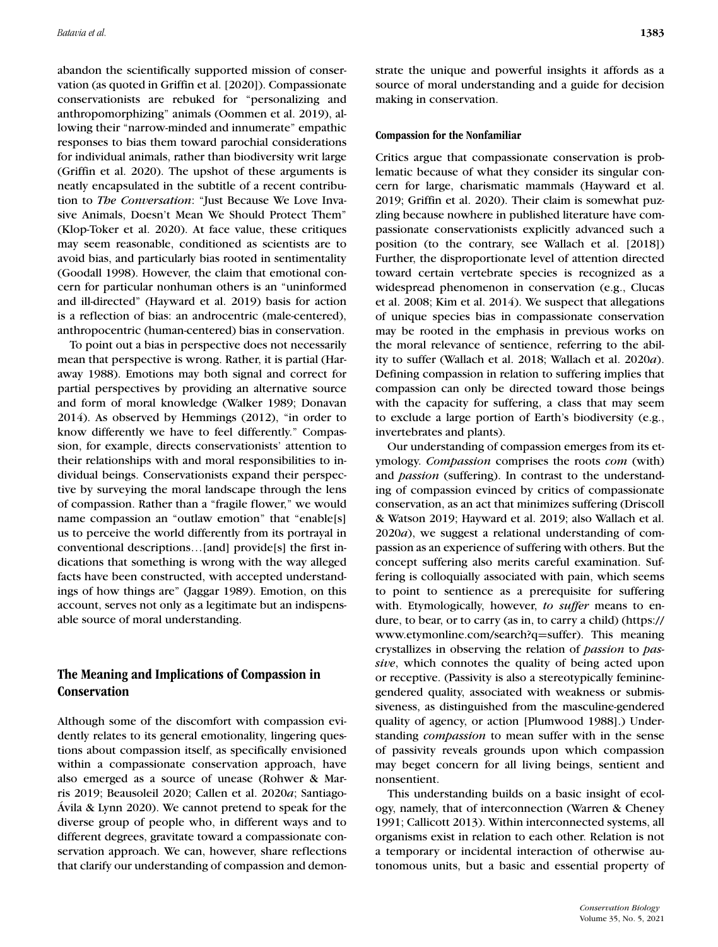abandon the scientifically supported mission of conservation (as quoted in Griffin et al. [2020]). Compassionate conservationists are rebuked for "personalizing and anthropomorphizing" animals (Oommen et al. 2019), allowing their "narrow-minded and innumerate" empathic responses to bias them toward parochial considerations for individual animals, rather than biodiversity writ large (Griffin et al. 2020). The upshot of these arguments is neatly encapsulated in the subtitle of a recent contribution to *The Conversation*: "Just Because We Love Invasive Animals, Doesn't Mean We Should Protect Them" (Klop-Toker et al. 2020). At face value, these critiques may seem reasonable, conditioned as scientists are to avoid bias, and particularly bias rooted in sentimentality (Goodall 1998). However, the claim that emotional concern for particular nonhuman others is an "uninformed and ill-directed" (Hayward et al. 2019) basis for action is a reflection of bias: an androcentric (male-centered), anthropocentric (human-centered) bias in conservation.

To point out a bias in perspective does not necessarily mean that perspective is wrong. Rather, it is partial (Haraway 1988). Emotions may both signal and correct for partial perspectives by providing an alternative source and form of moral knowledge (Walker 1989; Donavan 2014). As observed by Hemmings (2012), "in order to know differently we have to feel differently." Compassion, for example, directs conservationists' attention to their relationships with and moral responsibilities to individual beings. Conservationists expand their perspective by surveying the moral landscape through the lens of compassion. Rather than a "fragile flower," we would name compassion an "outlaw emotion" that "enable[s] us to perceive the world differently from its portrayal in conventional descriptions…[and] provide[s] the first indications that something is wrong with the way alleged facts have been constructed, with accepted understandings of how things are" (Jaggar 1989). Emotion, on this account, serves not only as a legitimate but an indispensable source of moral understanding.

# **The Meaning and Implications of Compassion in Conservation**

Although some of the discomfort with compassion evidently relates to its general emotionality, lingering questions about compassion itself, as specifically envisioned within a compassionate conservation approach, have also emerged as a source of unease (Rohwer & Marris 2019; Beausoleil 2020; Callen et al. 2020*a*; Santiago-Ávila & Lynn 2020). We cannot pretend to speak for the diverse group of people who, in different ways and to different degrees, gravitate toward a compassionate conservation approach. We can, however, share reflections that clarify our understanding of compassion and demonstrate the unique and powerful insights it affords as a source of moral understanding and a guide for decision making in conservation.

#### **Compassion for the Nonfamiliar**

Critics argue that compassionate conservation is problematic because of what they consider its singular concern for large, charismatic mammals (Hayward et al. 2019; Griffin et al. 2020). Their claim is somewhat puzzling because nowhere in published literature have compassionate conservationists explicitly advanced such a position (to the contrary, see Wallach et al. [2018]) Further, the disproportionate level of attention directed toward certain vertebrate species is recognized as a widespread phenomenon in conservation (e.g., Clucas et al. 2008; Kim et al. 2014). We suspect that allegations of unique species bias in compassionate conservation may be rooted in the emphasis in previous works on the moral relevance of sentience, referring to the ability to suffer (Wallach et al. 2018; Wallach et al. 2020*a*). Defining compassion in relation to suffering implies that compassion can only be directed toward those beings with the capacity for suffering, a class that may seem to exclude a large portion of Earth's biodiversity (e.g., invertebrates and plants).

Our understanding of compassion emerges from its etymology. *Compassion* comprises the roots *com* (with) and *passion* (suffering). In contrast to the understanding of compassion evinced by critics of compassionate conservation, as an act that minimizes suffering (Driscoll & Watson 2019; Hayward et al. 2019; also Wallach et al. 2020*a*), we suggest a relational understanding of compassion as an experience of suffering with others. But the concept suffering also merits careful examination. Suffering is colloquially associated with pain, which seems to point to sentience as a prerequisite for suffering with. Etymologically, however, *to suffer* means to endure, to bear, or to carry (as in, to carry a child) [\(https://](https://www.etymonline.com/search?q) [www.etymonline.com/search?q](https://www.etymonline.com/search?q)=suffer). This meaning crystallizes in observing the relation of *passion* to *passive*, which connotes the quality of being acted upon or receptive. (Passivity is also a stereotypically femininegendered quality, associated with weakness or submissiveness, as distinguished from the masculine-gendered quality of agency, or action [Plumwood 1988].) Understanding *compassion* to mean suffer with in the sense of passivity reveals grounds upon which compassion may beget concern for all living beings, sentient and nonsentient.

This understanding builds on a basic insight of ecology, namely, that of interconnection (Warren & Cheney 1991; Callicott 2013). Within interconnected systems, all organisms exist in relation to each other. Relation is not a temporary or incidental interaction of otherwise autonomous units, but a basic and essential property of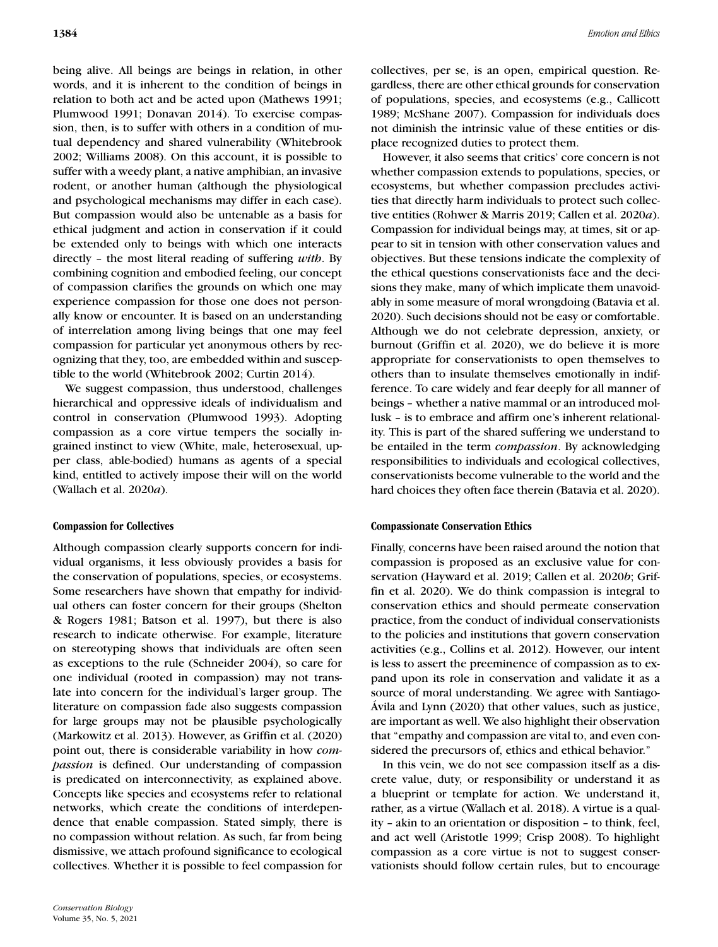being alive. All beings are beings in relation, in other words, and it is inherent to the condition of beings in relation to both act and be acted upon (Mathews 1991; Plumwood 1991; Donavan 2014). To exercise compassion, then, is to suffer with others in a condition of mutual dependency and shared vulnerability (Whitebrook 2002; Williams 2008). On this account, it is possible to suffer with a weedy plant, a native amphibian, an invasive rodent, or another human (although the physiological and psychological mechanisms may differ in each case). But compassion would also be untenable as a basis for ethical judgment and action in conservation if it could be extended only to beings with which one interacts directly – the most literal reading of suffering *with*. By combining cognition and embodied feeling, our concept of compassion clarifies the grounds on which one may experience compassion for those one does not personally know or encounter. It is based on an understanding of interrelation among living beings that one may feel compassion for particular yet anonymous others by recognizing that they, too, are embedded within and susceptible to the world (Whitebrook 2002; Curtin 2014).

We suggest compassion, thus understood, challenges hierarchical and oppressive ideals of individualism and control in conservation (Plumwood 1993). Adopting compassion as a core virtue tempers the socially ingrained instinct to view (White, male, heterosexual, upper class, able-bodied) humans as agents of a special kind, entitled to actively impose their will on the world (Wallach et al. 2020*a*).

## **Compassion for Collectives**

Although compassion clearly supports concern for individual organisms, it less obviously provides a basis for the conservation of populations, species, or ecosystems. Some researchers have shown that empathy for individual others can foster concern for their groups (Shelton & Rogers 1981; Batson et al. 1997), but there is also research to indicate otherwise. For example, literature on stereotyping shows that individuals are often seen as exceptions to the rule (Schneider 2004), so care for one individual (rooted in compassion) may not translate into concern for the individual's larger group. The literature on compassion fade also suggests compassion for large groups may not be plausible psychologically (Markowitz et al. 2013). However, as Griffin et al. (2020) point out, there is considerable variability in how *compassion* is defined. Our understanding of compassion is predicated on interconnectivity, as explained above. Concepts like species and ecosystems refer to relational networks, which create the conditions of interdependence that enable compassion. Stated simply, there is no compassion without relation. As such, far from being dismissive, we attach profound significance to ecological collectives. Whether it is possible to feel compassion for

collectives, per se, is an open, empirical question. Regardless, there are other ethical grounds for conservation of populations, species, and ecosystems (e.g., Callicott 1989; McShane 2007). Compassion for individuals does not diminish the intrinsic value of these entities or displace recognized duties to protect them.

However, it also seems that critics' core concern is not whether compassion extends to populations, species, or ecosystems, but whether compassion precludes activities that directly harm individuals to protect such collective entities (Rohwer & Marris 2019; Callen et al. 2020*a*). Compassion for individual beings may, at times, sit or appear to sit in tension with other conservation values and objectives. But these tensions indicate the complexity of the ethical questions conservationists face and the decisions they make, many of which implicate them unavoidably in some measure of moral wrongdoing (Batavia et al. 2020). Such decisions should not be easy or comfortable. Although we do not celebrate depression, anxiety, or burnout (Griffin et al. 2020), we do believe it is more appropriate for conservationists to open themselves to others than to insulate themselves emotionally in indifference. To care widely and fear deeply for all manner of beings – whether a native mammal or an introduced mollusk – is to embrace and affirm one's inherent relationality. This is part of the shared suffering we understand to be entailed in the term *compassion*. By acknowledging responsibilities to individuals and ecological collectives, conservationists become vulnerable to the world and the hard choices they often face therein (Batavia et al. 2020).

## **Compassionate Conservation Ethics**

Finally, concerns have been raised around the notion that compassion is proposed as an exclusive value for conservation (Hayward et al. 2019; Callen et al. 2020*b*; Griffin et al. 2020). We do think compassion is integral to conservation ethics and should permeate conservation practice, from the conduct of individual conservationists to the policies and institutions that govern conservation activities (e.g., Collins et al. 2012). However, our intent is less to assert the preeminence of compassion as to expand upon its role in conservation and validate it as a source of moral understanding. We agree with Santiago-Ávila and Lynn (2020) that other values, such as justice, are important as well. We also highlight their observation that "empathy and compassion are vital to, and even considered the precursors of, ethics and ethical behavior."

In this vein, we do not see compassion itself as a discrete value, duty, or responsibility or understand it as a blueprint or template for action. We understand it, rather, as a virtue (Wallach et al. 2018). A virtue is a quality – akin to an orientation or disposition – to think, feel, and act well (Aristotle 1999; Crisp 2008). To highlight compassion as a core virtue is not to suggest conservationists should follow certain rules, but to encourage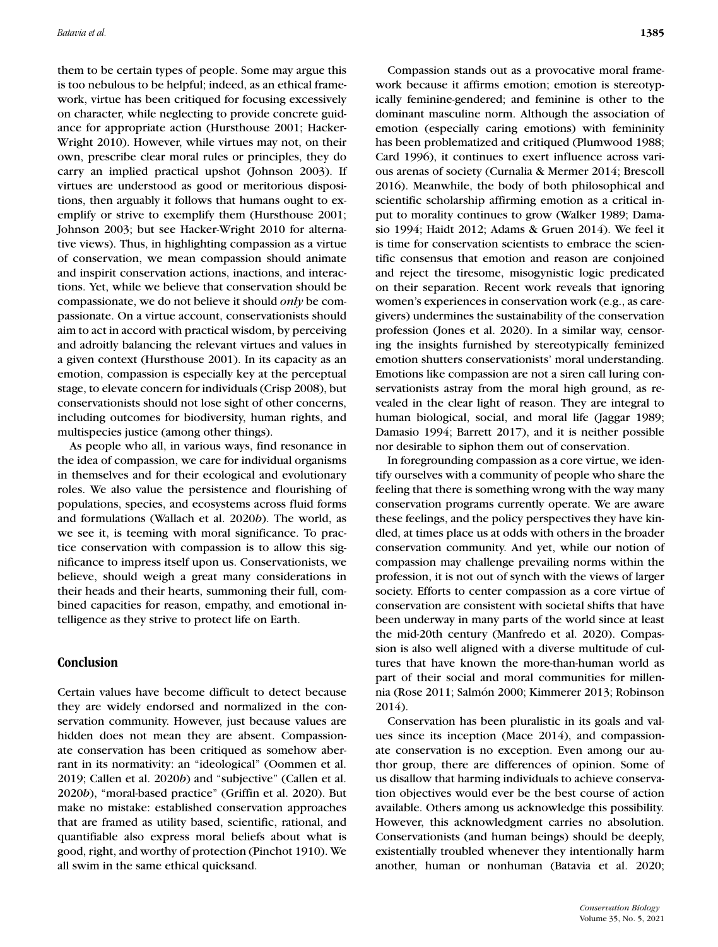them to be certain types of people. Some may argue this is too nebulous to be helpful; indeed, as an ethical framework, virtue has been critiqued for focusing excessively on character, while neglecting to provide concrete guidance for appropriate action (Hursthouse 2001; Hacker-Wright 2010). However, while virtues may not, on their own, prescribe clear moral rules or principles, they do carry an implied practical upshot (Johnson 2003). If virtues are understood as good or meritorious dispositions, then arguably it follows that humans ought to exemplify or strive to exemplify them (Hursthouse 2001; Johnson 2003; but see Hacker-Wright 2010 for alternative views). Thus, in highlighting compassion as a virtue of conservation, we mean compassion should animate and inspirit conservation actions, inactions, and interactions. Yet, while we believe that conservation should be compassionate, we do not believe it should *only* be compassionate. On a virtue account, conservationists should aim to act in accord with practical wisdom, by perceiving and adroitly balancing the relevant virtues and values in a given context (Hursthouse 2001). In its capacity as an emotion, compassion is especially key at the perceptual stage, to elevate concern for individuals (Crisp 2008), but conservationists should not lose sight of other concerns, including outcomes for biodiversity, human rights, and multispecies justice (among other things).

As people who all, in various ways, find resonance in the idea of compassion, we care for individual organisms in themselves and for their ecological and evolutionary roles. We also value the persistence and flourishing of populations, species, and ecosystems across fluid forms and formulations (Wallach et al. 2020*b*). The world, as we see it, is teeming with moral significance. To practice conservation with compassion is to allow this significance to impress itself upon us. Conservationists, we believe, should weigh a great many considerations in their heads and their hearts, summoning their full, combined capacities for reason, empathy, and emotional intelligence as they strive to protect life on Earth.

# **Conclusion**

Certain values have become difficult to detect because they are widely endorsed and normalized in the conservation community. However, just because values are hidden does not mean they are absent. Compassionate conservation has been critiqued as somehow aberrant in its normativity: an "ideological" (Oommen et al. 2019; Callen et al. 2020*b*) and "subjective" (Callen et al. 2020*b*), "moral-based practice" (Griffin et al. 2020). But make no mistake: established conservation approaches that are framed as utility based, scientific, rational, and quantifiable also express moral beliefs about what is good, right, and worthy of protection (Pinchot 1910). We all swim in the same ethical quicksand.

Compassion stands out as a provocative moral framework because it affirms emotion; emotion is stereotypically feminine-gendered; and feminine is other to the dominant masculine norm. Although the association of emotion (especially caring emotions) with femininity has been problematized and critiqued (Plumwood 1988; Card 1996), it continues to exert influence across various arenas of society (Curnalia & Mermer 2014; Brescoll 2016). Meanwhile, the body of both philosophical and scientific scholarship affirming emotion as a critical input to morality continues to grow (Walker 1989; Damasio 1994; Haidt 2012; Adams & Gruen 2014). We feel it is time for conservation scientists to embrace the scientific consensus that emotion and reason are conjoined and reject the tiresome, misogynistic logic predicated on their separation. Recent work reveals that ignoring women's experiences in conservation work (e.g., as caregivers) undermines the sustainability of the conservation profession (Jones et al. 2020). In a similar way, censoring the insights furnished by stereotypically feminized emotion shutters conservationists' moral understanding. Emotions like compassion are not a siren call luring conservationists astray from the moral high ground, as revealed in the clear light of reason. They are integral to human biological, social, and moral life (Jaggar 1989; Damasio 1994; Barrett 2017), and it is neither possible nor desirable to siphon them out of conservation.

In foregrounding compassion as a core virtue, we identify ourselves with a community of people who share the feeling that there is something wrong with the way many conservation programs currently operate. We are aware these feelings, and the policy perspectives they have kindled, at times place us at odds with others in the broader conservation community. And yet, while our notion of compassion may challenge prevailing norms within the profession, it is not out of synch with the views of larger society. Efforts to center compassion as a core virtue of conservation are consistent with societal shifts that have been underway in many parts of the world since at least the mid-20th century (Manfredo et al. 2020). Compassion is also well aligned with a diverse multitude of cultures that have known the more-than-human world as part of their social and moral communities for millennia (Rose 2011; Salmón 2000; Kimmerer 2013; Robinson 2014).

Conservation has been pluralistic in its goals and values since its inception (Mace 2014), and compassionate conservation is no exception. Even among our author group, there are differences of opinion. Some of us disallow that harming individuals to achieve conservation objectives would ever be the best course of action available. Others among us acknowledge this possibility. However, this acknowledgment carries no absolution. Conservationists (and human beings) should be deeply, existentially troubled whenever they intentionally harm another, human or nonhuman (Batavia et al. 2020;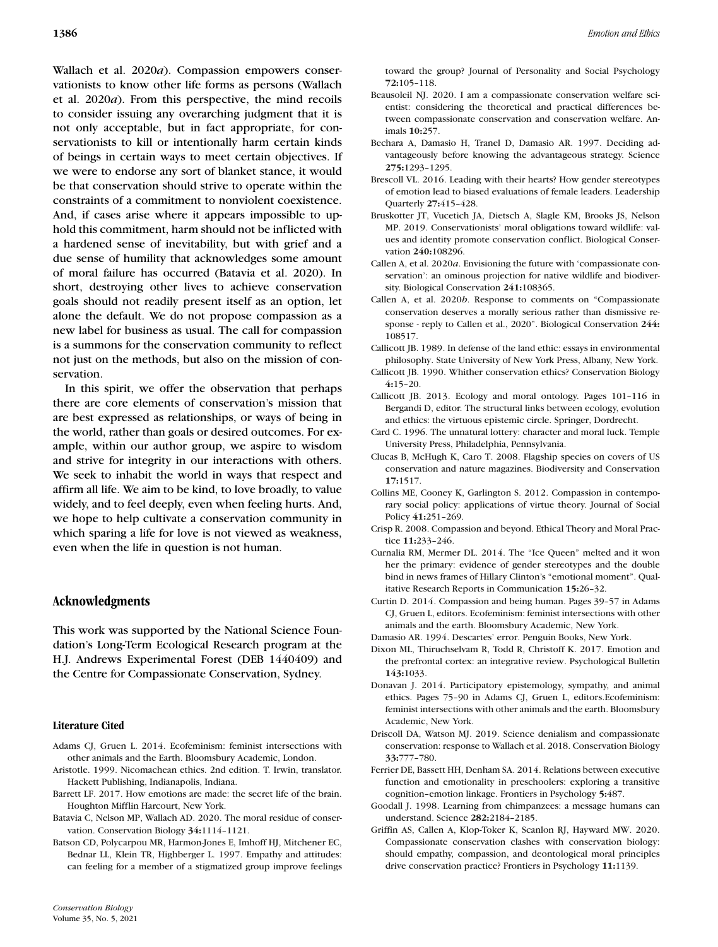Wallach et al. 2020*a*). Compassion empowers conservationists to know other life forms as persons (Wallach et al. 2020*a*). From this perspective, the mind recoils to consider issuing any overarching judgment that it is not only acceptable, but in fact appropriate, for conservationists to kill or intentionally harm certain kinds of beings in certain ways to meet certain objectives. If we were to endorse any sort of blanket stance, it would be that conservation should strive to operate within the constraints of a commitment to nonviolent coexistence. And, if cases arise where it appears impossible to uphold this commitment, harm should not be inflicted with a hardened sense of inevitability, but with grief and a due sense of humility that acknowledges some amount of moral failure has occurred (Batavia et al. 2020). In short, destroying other lives to achieve conservation goals should not readily present itself as an option, let alone the default. We do not propose compassion as a new label for business as usual. The call for compassion is a summons for the conservation community to reflect not just on the methods, but also on the mission of conservation.

In this spirit, we offer the observation that perhaps there are core elements of conservation's mission that are best expressed as relationships, or ways of being in the world, rather than goals or desired outcomes. For example, within our author group, we aspire to wisdom and strive for integrity in our interactions with others. We seek to inhabit the world in ways that respect and affirm all life. We aim to be kind, to love broadly, to value widely, and to feel deeply, even when feeling hurts. And, we hope to help cultivate a conservation community in which sparing a life for love is not viewed as weakness, even when the life in question is not human.

# **Acknowledgments**

This work was supported by the National Science Foundation's Long-Term Ecological Research program at the H.J. Andrews Experimental Forest (DEB 1440409) and the Centre for Compassionate Conservation, Sydney.

## **Literature Cited**

- Adams CJ, Gruen L. 2014. Ecofeminism: feminist intersections with other animals and the Earth. Bloomsbury Academic, London.
- Aristotle. 1999. Nicomachean ethics. 2nd edition. T. Irwin, translator. Hackett Publishing, Indianapolis, Indiana.
- Barrett LF. 2017. How emotions are made: the secret life of the brain. Houghton Mifflin Harcourt, New York.
- Batavia C, Nelson MP, Wallach AD. 2020. The moral residue of conservation. Conservation Biology **34:**1114–1121.
- Batson CD, Polycarpou MR, Harmon-Jones E, Imhoff HJ, Mitchener EC, Bednar LL, Klein TR, Highberger L. 1997. Empathy and attitudes: can feeling for a member of a stigmatized group improve feelings

toward the group? Journal of Personality and Social Psychology **72:**105–118.

- Beausoleil NJ. 2020. I am a compassionate conservation welfare scientist: considering the theoretical and practical differences between compassionate conservation and conservation welfare. Animals **10:**257.
- Bechara A, Damasio H, Tranel D, Damasio AR. 1997. Deciding advantageously before knowing the advantageous strategy. Science **275:**1293–1295.
- Brescoll VL. 2016. Leading with their hearts? How gender stereotypes of emotion lead to biased evaluations of female leaders. Leadership Quarterly **27:**415–428.
- Bruskotter JT, Vucetich JA, Dietsch A, Slagle KM, Brooks JS, Nelson MP. 2019. Conservationists' moral obligations toward wildlife: values and identity promote conservation conflict. Biological Conservation **240:**108296.
- Callen A, et al. 2020*a*. Envisioning the future with 'compassionate conservation': an ominous projection for native wildlife and biodiversity. Biological Conservation **241:**108365.
- Callen A, et al. 2020*b*. Response to comments on "Compassionate conservation deserves a morally serious rather than dismissive response - reply to Callen et al., 2020". Biological Conservation **244:** 108517.
- Callicott JB. 1989. In defense of the land ethic: essays in environmental philosophy. State University of New York Press, Albany, New York.
- Callicott JB. 1990. Whither conservation ethics? Conservation Biology **4:**15–20.
- Callicott JB. 2013. Ecology and moral ontology. Pages 101–116 in Bergandi D, editor. The structural links between ecology, evolution and ethics: the virtuous epistemic circle. Springer, Dordrecht.
- Card C. 1996. The unnatural lottery: character and moral luck. Temple University Press, Philadelphia, Pennsylvania.
- Clucas B, McHugh K, Caro T. 2008. Flagship species on covers of US conservation and nature magazines. Biodiversity and Conservation **17:**1517.
- Collins ME, Cooney K, Garlington S. 2012. Compassion in contemporary social policy: applications of virtue theory. Journal of Social Policy **41:**251–269.
- Crisp R. 2008. Compassion and beyond. Ethical Theory and Moral Practice **11:**233–246.
- Curnalia RM, Mermer DL. 2014. The "Ice Queen" melted and it won her the primary: evidence of gender stereotypes and the double bind in news frames of Hillary Clinton's "emotional moment". Qualitative Research Reports in Communication **15:**26–32.
- Curtin D. 2014. Compassion and being human. Pages 39–57 in Adams CJ, Gruen L, editors. Ecofeminism: feminist intersections with other animals and the earth. Bloomsbury Academic, New York.

Damasio AR. 1994. Descartes' error. Penguin Books, New York.

- Dixon ML, Thiruchselvam R, Todd R, Christoff K. 2017. Emotion and the prefrontal cortex: an integrative review. Psychological Bulletin **143:**1033.
- Donavan J. 2014. Participatory epistemology, sympathy, and animal ethics. Pages 75–90 in Adams CJ, Gruen L, editors.Ecofeminism: feminist intersections with other animals and the earth. Bloomsbury Academic, New York.
- Driscoll DA, Watson MJ. 2019. Science denialism and compassionate conservation: response to Wallach et al. 2018. Conservation Biology **33:**777–780.
- Ferrier DE, Bassett HH, Denham SA. 2014. Relations between executive function and emotionality in preschoolers: exploring a transitive cognition–emotion linkage. Frontiers in Psychology **5:**487.
- Goodall J. 1998. Learning from chimpanzees: a message humans can understand. Science **282:**2184–2185.
- Griffin AS, Callen A, Klop-Toker K, Scanlon RJ, Hayward MW. 2020. Compassionate conservation clashes with conservation biology: should empathy, compassion, and deontological moral principles drive conservation practice? Frontiers in Psychology **11:**1139.